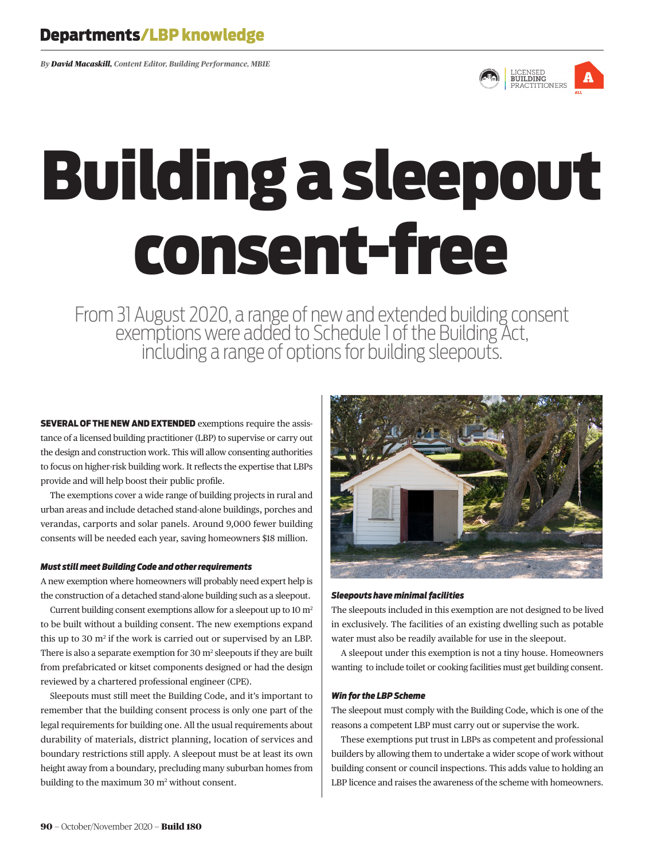*By David Macaskill, Content Editor, Building Performance, MBIE*



# Building a sleepout consent-free

From 31 August 2020, a range of new and extended building consent<br>exemptions were added to Schedule 1 of the Building Act,<br>including a range of options for building sleepouts.

SEVERAL OF THE NEW AND EXTENDED exemptions require the assistance of a licensed building practitioner (LBP) to supervise or carry out the design and construction work. This will allow consenting authorities to focus on higher-risk building work. It reflects the expertise that LBPs provide and will help boost their public profile.

The exemptions cover a wide range of building projects in rural and urban areas and include detached stand-alone buildings, porches and verandas, carports and solar panels. Around 9,000 fewer building consents will be needed each year, saving homeowners \$18 million.

# *Must still meet Building Code and other requirements*

A new exemption where homeowners will probably need expert help is the construction of a detached stand-alone building such as a sleepout.

Current building consent exemptions allow for a sleepout up to  $10 \text{ m}^2$ to be built without a building consent. The new exemptions expand this up to 30  $m^2$  if the work is carried out or supervised by an LBP. There is also a separate exemption for  $30 \text{ m}^2$  sleepouts if they are built from prefabricated or kitset components designed or had the design reviewed by a chartered professional engineer (CPE).

Sleepouts must still meet the Building Code, and it's important to remember that the building consent process is only one part of the legal requirements for building one. All the usual requirements about durability of materials, district planning, location of services and boundary restrictions still apply. A sleepout must be at least its own height away from a boundary, precluding many suburban homes from building to the maximum 30 m<sup>2</sup> without consent.



# *Sleepouts have minimal facilities*

The sleepouts included in this exemption are not designed to be lived in exclusively. The facilities of an existing dwelling such as potable water must also be readily available for use in the sleepout.

A sleepout under this exemption is not a tiny house. Homeowners wanting to include toilet or cooking facilities must get building consent.

# *Win for the LBP Scheme*

The sleepout must comply with the Building Code, which is one of the reasons a competent LBP must carry out or supervise the work.

These exemptions put trust in LBPs as competent and professional builders by allowing them to undertake a wider scope of work without building consent or council inspections. This adds value to holding an LBP licence and raises the awareness of the scheme with homeowners.